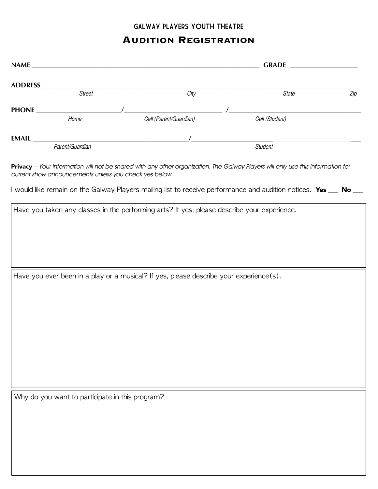# Galway Players Youth Theatre

# **AUDITION REGISTRATION**

| <b>Street</b>                                   |                                                                                        | City | State                                                                                                            | Zip |  |
|-------------------------------------------------|----------------------------------------------------------------------------------------|------|------------------------------------------------------------------------------------------------------------------|-----|--|
|                                                 |                                                                                        |      |                                                                                                                  |     |  |
| Home                                            | Cell (Parent/Guardian)                                                                 |      | Cell (Student)                                                                                                   |     |  |
|                                                 |                                                                                        |      |                                                                                                                  |     |  |
| Parent/Guardian                                 |                                                                                        |      | <b>Student</b>                                                                                                   |     |  |
|                                                 | current show announcements unless you check yes below.                                 |      | I would like remain on the Galway Players mailing list to receive performance and audition notices. Yes __ No __ |     |  |
|                                                 |                                                                                        |      | Have you taken any classes in the performing arts? If yes, please describe your experience.                      |     |  |
|                                                 |                                                                                        |      |                                                                                                                  |     |  |
|                                                 |                                                                                        |      |                                                                                                                  |     |  |
|                                                 |                                                                                        |      |                                                                                                                  |     |  |
|                                                 |                                                                                        |      |                                                                                                                  |     |  |
|                                                 | Have you ever been in a play or a musical? If yes, please describe your experience(s). |      |                                                                                                                  |     |  |
|                                                 |                                                                                        |      |                                                                                                                  |     |  |
|                                                 |                                                                                        |      |                                                                                                                  |     |  |
|                                                 |                                                                                        |      |                                                                                                                  |     |  |
|                                                 |                                                                                        |      |                                                                                                                  |     |  |
|                                                 |                                                                                        |      |                                                                                                                  |     |  |
|                                                 |                                                                                        |      |                                                                                                                  |     |  |
|                                                 |                                                                                        |      |                                                                                                                  |     |  |
|                                                 |                                                                                        |      |                                                                                                                  |     |  |
|                                                 |                                                                                        |      |                                                                                                                  |     |  |
| Why do you want to participate in this program? |                                                                                        |      |                                                                                                                  |     |  |
|                                                 |                                                                                        |      |                                                                                                                  |     |  |
|                                                 |                                                                                        |      |                                                                                                                  |     |  |
|                                                 |                                                                                        |      |                                                                                                                  |     |  |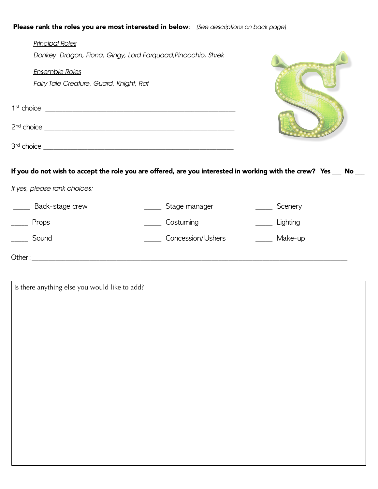### Please rank the roles you are most interested in below:*(See descriptions on back page)*

| <b>Principal Roles</b>                  |                                                              |                                                                                                                               |
|-----------------------------------------|--------------------------------------------------------------|-------------------------------------------------------------------------------------------------------------------------------|
|                                         | Donkey Dragon, Fiona, Gingy, Lord Farquaad, Pinocchio, Shrek |                                                                                                                               |
| <b>Ensemble Roles</b>                   |                                                              |                                                                                                                               |
| Fairy Tale Creature, Guard, Knight, Rat |                                                              |                                                                                                                               |
|                                         |                                                              |                                                                                                                               |
|                                         |                                                              |                                                                                                                               |
|                                         |                                                              |                                                                                                                               |
|                                         |                                                              | If you do not wish to accept the role you are offered, are you interested in working with the crew? $\,$ Yes $\_\_$ No $\_\_$ |
| If yes, please rank choices:            |                                                              |                                                                                                                               |
| Back-stage crew                         | Stage manager                                                | Scenery                                                                                                                       |
| Props                                   | Costuming                                                    | Lighting                                                                                                                      |
| Sound                                   | Concession/Ushers                                            | Make-up                                                                                                                       |
| Other:                                  |                                                              |                                                                                                                               |

Is there anything else you would like to add?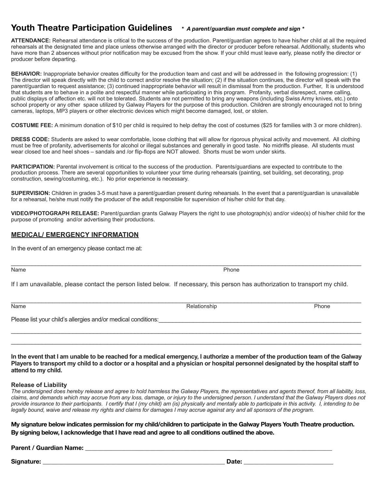## **Youth Theatre Participation Guidelines** *\* A parent/guardian must complete and sign \**

**ATTENDANCE:** Rehearsal attendance is critical to the success of the production. Parent/guardian agrees to have his/her child at all the required rehearsals at the designated time and place unless otherwise arranged with the director or producer before rehearsal. Additionally, students who have more than 2 absences without prior notification may be excused from the show. If your child must leave early, please notify the director or producer before departing.

**BEHAVIOR:** Inappropriate behavior creates difficulty for the production team and cast and will be addressed in the following progression: (1) The director will speak directly with the child to correct and/or resolve the situation; (2) if the situation continues, the director will speak with the parent/guardian to request assistance; (3) continued inappropriate behavior will result in dismissal from the production. Further, It is understood that students are to behave in a polite and respectful manner while participating in this program. Profanity, verbal disrespect, name calling, public displays of affection etc. will not be tolerated. Students are not permitted to bring any weapons (including Swiss Army knives, etc.) onto school property or any other space utilized by Galway Players for the purpose of this production. Children are strongly encouraged not to bring cameras, laptops, MP3 players or other electronic devices which might become damaged, lost, or stolen.

**COSTUME FEE:** A minimum donation of \$10 per child is required to help defray the cost of costumes (\$25 for families with 3 or more children).

**DRESS CODE:** Students are asked to wear comfortable, loose clothing that will allow for rigorous physical activity and movement. All clothing must be free of profanity, advertisements for alcohol or illegal substances and generally in good taste. No midriffs please. All students must wear closed toe and heel shoes – sandals and /or flip-flops are NOT allowed. Shorts must be worn under skirts.

**PARTICIPATION:** Parental involvement is critical to the success of the production. Parents/guardians are expected to contribute to the production process. There are several opportunities to volunteer your time during rehearsals (painting, set building, set decorating, prop construction, sewing/costuming, etc.). No prior experience is necessary.

**SUPERVISION:** Children in grades 3-5 must have a parent/guardian present during rehearsals. In the event that a parent/guardian is unavailable for a rehearsal, he/she must notify the producer of the adult responsible for supervision of his/her child for that day.

**VIDEO/PHOTOGRAPH RELEASE:** Parent/guardian grants Galway Players the right to use photograph(s) and/or video(s) of his/her child for the purpose of promoting and/or advertising their productions.

#### **MEDICAL/ EMERGENCY INFORMATION**

In the event of an emergency please contact me at:

Name **Phone** Phone **Phone** Phone **Phone** Phone **Phone** Phone **Phone** Phone **Phone** Phone **Phone** Phone **Phone** Phone **Phone** Phone **Phone Phone Phone Phone Phone Phone Phone Phone Phone Phone Phone Ph** 

If I am unavailable, please contact the person listed below. If necessary, this person has authorization to transport my child.

 $\mathcal{L}_\mathcal{L} = \{ \mathcal{L}_\mathcal{L} = \{ \mathcal{L}_\mathcal{L} = \{ \mathcal{L}_\mathcal{L} = \{ \mathcal{L}_\mathcal{L} = \{ \mathcal{L}_\mathcal{L} = \{ \mathcal{L}_\mathcal{L} = \{ \mathcal{L}_\mathcal{L} = \{ \mathcal{L}_\mathcal{L} = \{ \mathcal{L}_\mathcal{L} = \{ \mathcal{L}_\mathcal{L} = \{ \mathcal{L}_\mathcal{L} = \{ \mathcal{L}_\mathcal{L} = \{ \mathcal{L}_\mathcal{L} = \{ \mathcal{L}_\mathcal{$ 

Name **Relationship Relationship Relationship Relationship Phone** 

Please list your child's allergies and/or medical conditions:

**In the event that I am unable to be reached for a medical emergency, I authorize a member of the production team of the Galway Players to transport my child to a doctor or a hospital and a physician or hospital personnel designated by the hospital staff to attend to my child.**

 $\mathcal{L}_\mathcal{L} = \{ \mathcal{L}_\mathcal{L} = \{ \mathcal{L}_\mathcal{L} = \{ \mathcal{L}_\mathcal{L} = \{ \mathcal{L}_\mathcal{L} = \{ \mathcal{L}_\mathcal{L} = \{ \mathcal{L}_\mathcal{L} = \{ \mathcal{L}_\mathcal{L} = \{ \mathcal{L}_\mathcal{L} = \{ \mathcal{L}_\mathcal{L} = \{ \mathcal{L}_\mathcal{L} = \{ \mathcal{L}_\mathcal{L} = \{ \mathcal{L}_\mathcal{L} = \{ \mathcal{L}_\mathcal{L} = \{ \mathcal{L}_\mathcal{$  $\mathcal{L}_\text{max}$  , and the set of the set of the set of the set of the set of the set of the set of the set of the set of the set of the set of the set of the set of the set of the set of the set of the set of the set of the

#### **Release of Liability**

*The undersigned does hereby release and agree to hold harmless the Galway Players, the representatives and agents thereof, from all liability, loss, claims, and demands which may accrue from any loss, damage, or injury to the undersigned person. I understand that the Galway Players does not provide insurance to their participants. I certify that I (my child) am (is) physically and mentally able to participate in this activity. I, intending to be legally bound, waive and release my rights and claims for damages I may accrue against any and all sponsors of the program.*

**My signature below indicates permission for my child/children to participate in the Galway Players Youth Theatre production. By signing below, I acknowledge that I have read and agree to all conditions outlined the above.** 

#### Parent / Guardian Name:

**Signature: \_\_\_\_\_\_\_\_\_\_\_\_\_\_\_\_\_\_\_\_\_\_\_\_\_\_\_\_\_\_\_\_\_\_\_\_\_\_\_\_\_\_\_\_\_\_\_\_\_\_\_\_\_\_\_\_\_\_\_ Date: \_\_\_\_\_\_\_\_\_\_\_\_\_\_\_\_\_\_\_\_\_\_\_\_\_\_\_\_\_** 

 $\mathcal{L}_\mathcal{L} = \{ \mathcal{L}_\mathcal{L} = \{ \mathcal{L}_\mathcal{L} = \{ \mathcal{L}_\mathcal{L} = \{ \mathcal{L}_\mathcal{L} = \{ \mathcal{L}_\mathcal{L} = \{ \mathcal{L}_\mathcal{L} = \{ \mathcal{L}_\mathcal{L} = \{ \mathcal{L}_\mathcal{L} = \{ \mathcal{L}_\mathcal{L} = \{ \mathcal{L}_\mathcal{L} = \{ \mathcal{L}_\mathcal{L} = \{ \mathcal{L}_\mathcal{L} = \{ \mathcal{L}_\mathcal{L} = \{ \mathcal{L}_\mathcal{$